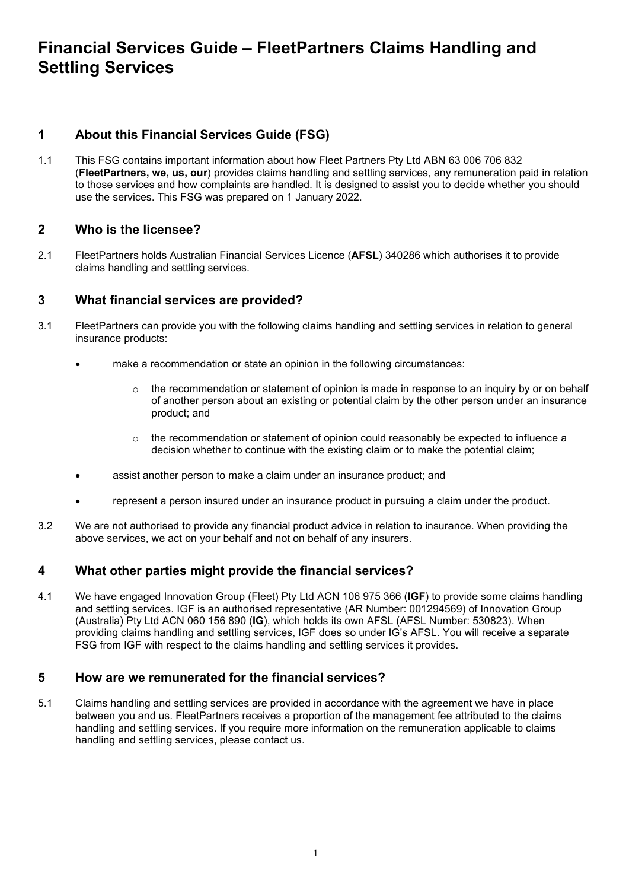# **Financial Services Guide – FleetPartners Claims Handling and Settling Services**

# **1 About this Financial Services Guide (FSG)**

1.1 This FSG contains important information about how Fleet Partners Pty Ltd ABN 63 006 706 832 (**FleetPartners, we, us, our**) provides claims handling and settling services, any remuneration paid in relation to those services and how complaints are handled. It is designed to assist you to decide whether you should use the services. This FSG was prepared on 1 January 2022.

## **2 Who is the licensee?**

2.1 FleetPartners holds Australian Financial Services Licence (**AFSL**) 340286 which authorises it to provide claims handling and settling services.

## **3 What financial services are provided?**

- 3.1 FleetPartners can provide you with the following claims handling and settling services in relation to general insurance products:
	- make a recommendation or state an opinion in the following circumstances:
		- $\circ$  the recommendation or statement of opinion is made in response to an inquiry by or on behalf of another person about an existing or potential claim by the other person under an insurance product; and
		- $\circ$  the recommendation or statement of opinion could reasonably be expected to influence a decision whether to continue with the existing claim or to make the potential claim;
	- assist another person to make a claim under an insurance product; and
	- represent a person insured under an insurance product in pursuing a claim under the product.
- 3.2 We are not authorised to provide any financial product advice in relation to insurance. When providing the above services, we act on your behalf and not on behalf of any insurers.

# **4 What other parties might provide the financial services?**

4.1 We have engaged Innovation Group (Fleet) Pty Ltd ACN 106 975 366 (**IGF**) to provide some claims handling and settling services. IGF is an authorised representative (AR Number: 001294569) of Innovation Group (Australia) Pty Ltd ACN 060 156 890 (**IG**), which holds its own AFSL (AFSL Number: 530823). When providing claims handling and settling services, IGF does so under IG's AFSL. You will receive a separate FSG from IGF with respect to the claims handling and settling services it provides.

#### **5 How are we remunerated for the financial services?**

5.1 Claims handling and settling services are provided in accordance with the agreement we have in place between you and us. FleetPartners receives a proportion of the management fee attributed to the claims handling and settling services. If you require more information on the remuneration applicable to claims handling and settling services, please contact us.